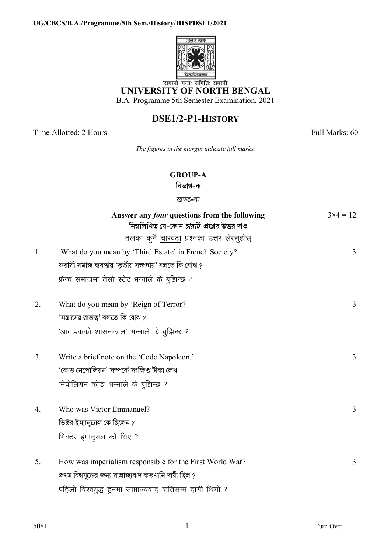

# UNIVERSITY OF NORTH BENGAL

B.A. Programme 5th Semester Examination, 2021

## DSE1/2-P1-HISTORY

Time Allotted: 2 Hours

 $1.$ 

 $2.$ 

 $3.$ 

 $4.$ 

 $5<sub>1</sub>$ 

Full Marks: 60

The figures in the margin indicate full marks.

### **GROUP-A**

বিভাগ-ক

#### खण्ड-क

| Answer any <i>four</i> questions from the following<br>নিম্নলিখিত যে-কোন <i>চারটি প্র</i> শ্নের উত্তর দাও | $3 \times 4 = 12$ |
|-----------------------------------------------------------------------------------------------------------|-------------------|
| तलका कुनै चारवटा प्रश्नका उत्तर लेख्नुहोस्                                                                |                   |
| What do you mean by 'Third Estate' in French Society?                                                     | 3                 |
| ফরাসী সমাজ ব্যবস্থায় 'তৃতীয় সম্প্রদায়' বলতে কি বোঝ ?                                                   |                   |
| फ्रेन्च समाजमा तेस्रो स्टेट भन्नाले के बुझिन्छ ?                                                          |                   |
| What do you mean by 'Reign of Terror?                                                                     | 3                 |
| 'সম্ভ্রাসের রাজত্ব' বলতে কি বোঝ ?                                                                         |                   |
| 'आतङकको शासनकाल' भन्नाले के बुझिन्छ ?                                                                     |                   |
| Write a brief note on the 'Code Napoleon.'                                                                | 3                 |
| 'কোড নেপোলিয়ন' সম্পৰ্কে সংক্ষিপ্ত টীকা লেখ।                                                              |                   |
| 'नेपोलियन कोड' भन्नाले के बुझिन्छ ?                                                                       |                   |
| Who was Victor Emmanuel?                                                                                  | 3                 |
| ভিক্টর ইম্যানুয়েল কে ছিলেন ?                                                                             |                   |
| भिक्टर इमानुयल को थिए ?                                                                                   |                   |
| How was imperialism responsible for the First World War?                                                  | 3                 |
| প্রথম বিশ্বযুদ্ধের জন্য সাম্রাজ্যবাদ কতখানি দায়ী ছিল ?                                                   |                   |
| पहिलो विश्वयुद्ध हुनमा साम्राज्यवाद कतिसम्म दायी थियो ?                                                   |                   |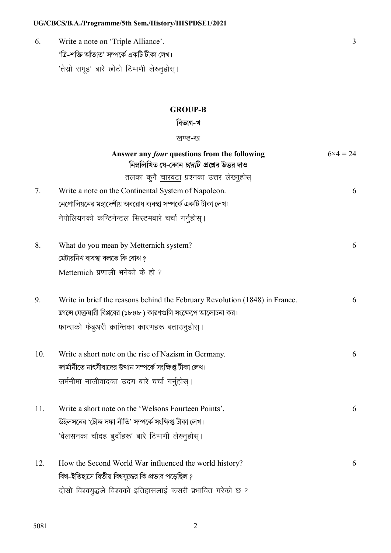### UG/CBCS/B.A./Programme/5th Sem./History/HISPDSE1/2021

6. Write a note on 'Triple Alliance'. 'ত্ৰি-শক্তি আঁতাত' সম্পৰ্কে একটি টীকা লেখ। 'तेस्रो समूह' बारे छोटो टिप्पणी लेख्नुहोस् ।

### **GROUP-B**

 $\overline{3}$ 

### বিভাগ-খ

#### खण्ड-ख

|     | Answer any four questions from the following<br>নিম্নলিখিত যে-কোন <i>চারটি প্র</i> শ্নের উত্তর দাও | $6 \times 4 = 24$ |
|-----|----------------------------------------------------------------------------------------------------|-------------------|
|     | तलका कुनै <u>चारवटा</u> प्रश्नका उत्तर लेख्नुहोस्                                                  |                   |
| 7.  | Write a note on the Continental System of Napoleon.                                                | 6                 |
|     | নেপোলিয়নের মহাদেশীয় অবরোধ ব্যবস্থা সম্পর্কে একটি টীকা লেখ।                                       |                   |
|     | नेपोलियनको कन्टिनेन्टल सिस्टमबारे चर्चा गर्नुहोस्।                                                 |                   |
| 8.  | What do you mean by Metternich system?                                                             | 6                 |
|     | মেটারনিখ ব্যবস্থা বলতে কি বোঝ ?                                                                    |                   |
|     | Metternich प्रणाली भनेको के हो ?                                                                   |                   |
| 9.  | Write in brief the reasons behind the February Revolution (1848) in France.                        | 6                 |
|     | ফ্রান্সে ফেব্রুয়ারী বিপ্লবের (১৮৪৮) কারণগুলি সংক্ষেপে আলোচনা কর।                                  |                   |
|     | फ्रान्सको फेब्रुअरी क्रान्तिका कारणहरू बताउनुहोस्।                                                 |                   |
| 10. | Write a short note on the rise of Nazism in Germany.                                               | 6                 |
|     | জার্মানীতে নাৎসীবাদের উত্থান সম্পর্কে সংক্ষিপ্ত টীকা লেখ।                                          |                   |
|     | जर्मनीमा नाजीवादका उदय बारे चर्चा गर्नुहोस्।                                                       |                   |
| 11. | Write a short note on the 'Welsons Fourteen Points'.                                               | 6                 |
|     | উইলসনের 'চৌদ্দ দফা নীতি' সম্পর্কে সংক্ষিপ্ত টীকা লেখ।                                              |                   |
|     | 'वेलसनका चौदह बुदाँहरू' बारे टिप्पणी लेख्नुहोस्।                                                   |                   |
| 12. | How the Second World War influenced the world history?                                             | 6                 |
|     | বিশ্ব-ইতিহাসে দ্বিতীয় বিশ্বযুদ্ধের কি প্রভাব পড়েছিল ?                                            |                   |
|     | दोस्रो विश्वयुद्धले विश्वको इतिहासलाई कसरी प्रभावित गरेको छ ?                                      |                   |